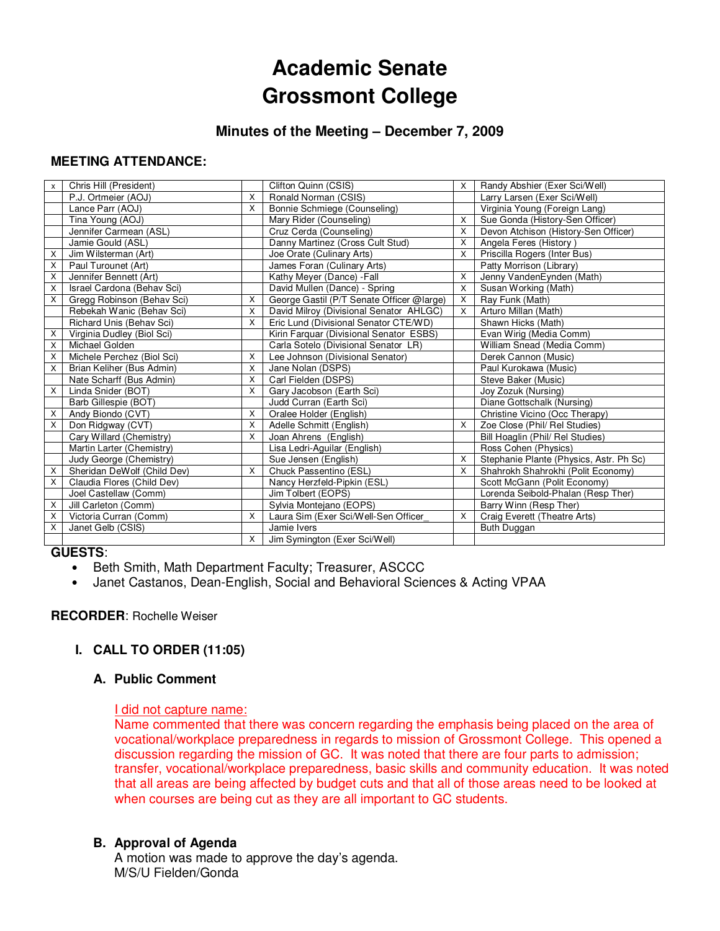# **Academic Senate Grossmont College**

## **Minutes of the Meeting – December 7, 2009**

## **MEETING ATTENDANCE:**

| X | Chris Hill (President)      |              | Clifton Quinn (CSIS)                      | $\times$ | Randy Abshier (Exer Sci/Well)           |
|---|-----------------------------|--------------|-------------------------------------------|----------|-----------------------------------------|
|   | P.J. Ortmeier (AOJ)         | X            | Ronald Norman (CSIS)                      |          | Larry Larsen (Exer Sci/Well)            |
|   | Lance Parr (AOJ)            | X            | Bonnie Schmiege (Counseling)              |          | Virginia Young (Foreign Lang)           |
|   | Tina Young (AOJ)            |              | Mary Rider (Counseling)                   | X        | Sue Gonda (History-Sen Officer)         |
|   | Jennifer Carmean (ASL)      |              | Cruz Cerda (Counseling)                   | X        | Devon Atchison (History-Sen Officer)    |
|   | Jamie Gould (ASL)           |              | Danny Martinez (Cross Cult Stud)          | X        | Angela Feres (History)                  |
| X | Jim Wilsterman (Art)        |              | Joe Orate (Culinary Arts)                 | $\times$ | Priscilla Rogers (Inter Bus)            |
| X | Paul Turounet (Art)         |              | James Foran (Culinary Arts)               |          | Patty Morrison (Library)                |
| X | Jennifer Bennett (Art)      |              | Kathy Meyer (Dance) - Fall                | X        | Jenny VandenEynden (Math)               |
| X | Israel Cardona (Behav Sci)  |              | David Mullen (Dance) - Spring             | X        | Susan Working (Math)                    |
| X | Gregg Robinson (Behav Sci)  | X            | George Gastil (P/T Senate Officer @large) | X        | Ray Funk (Math)                         |
|   | Rebekah Wanic (Behav Sci)   | X            | David Milroy (Divisional Senator AHLGC)   | $\times$ | Arturo Millan (Math)                    |
|   | Richard Unis (Behav Sci)    | $\mathsf{x}$ | Eric Lund (Divisional Senator CTE/WD)     |          | Shawn Hicks (Math)                      |
| X | Virginia Dudley (Biol Sci)  |              | Kirin Farquar (Divisional Senator ESBS)   |          | Evan Wirig (Media Comm)                 |
| X | Michael Golden              |              | Carla Sotelo (Divisional Senator LR)      |          | William Snead (Media Comm)              |
| X | Michele Perchez (Biol Sci)  | X            | Lee Johnson (Divisional Senator)          |          | Derek Cannon (Music)                    |
| X | Brian Keliher (Bus Admin)   | X            | Jane Nolan (DSPS)                         |          | Paul Kurokawa (Music)                   |
|   | Nate Scharff (Bus Admin)    | X            | Carl Fielden (DSPS)                       |          | Steve Baker (Music)                     |
| X | Linda Snider (BOT)          | X            | Gary Jacobson (Earth Sci)                 |          | Joy Zozuk (Nursing)                     |
|   | Barb Gillespie (BOT)        |              | Judd Curran (Earth Sci)                   |          | Diane Gottschalk (Nursing)              |
| X | Andy Biondo (CVT)           | X            | Oralee Holder (English)                   |          | Christine Vicino (Occ Therapy)          |
| X | Don Ridgway (CVT)           | X            | Adelle Schmitt (English)                  | X        | Zoe Close (Phil/ Rel Studies)           |
|   | Cary Willard (Chemistry)    | X            | Joan Ahrens (English)                     |          | Bill Hoaglin (Phil/ Rel Studies)        |
|   | Martin Larter (Chemistry)   |              | Lisa Ledri-Aguilar (English)              |          | Ross Cohen (Physics)                    |
|   | Judy George (Chemistry)     |              | Sue Jensen (English)                      | X        | Stephanie Plante (Physics, Astr. Ph Sc) |
| X | Sheridan DeWolf (Child Dev) | X            | Chuck Passentino (ESL)                    | X        | Shahrokh Shahrokhi (Polit Economy)      |
| X | Claudia Flores (Child Dev)  |              | Nancy Herzfeld-Pipkin (ESL)               |          | Scott McGann (Polit Economy)            |
|   | Joel Castellaw (Comm)       |              | Jim Tolbert (EOPS)                        |          | Lorenda Seibold-Phalan (Resp Ther)      |
| X | Jill Carleton (Comm)        |              | Sylvia Montejano (EOPS)                   |          | Barry Winn (Resp Ther)                  |
| X | Victoria Curran (Comm)      | X            | Laura Sim (Exer Sci/Well-Sen Officer      | Χ        | Craig Everett (Theatre Arts)            |
| X | Janet Gelb (CSIS)           |              | Jamie Ivers                               |          | Buth Duggan                             |
|   |                             | X            | Jim Symington (Exer Sci/Well)             |          |                                         |

## **GUESTS**:

- Beth Smith, Math Department Faculty; Treasurer, ASCCC
- Janet Castanos, Dean-English, Social and Behavioral Sciences & Acting VPAA

## **RECORDER**: Rochelle Weiser

## **I. CALL TO ORDER (11:05)**

## **A. Public Comment**

#### I did not capture name:

Name commented that there was concern regarding the emphasis being placed on the area of vocational/workplace preparedness in regards to mission of Grossmont College. This opened a discussion regarding the mission of GC. It was noted that there are four parts to admission; transfer, vocational/workplace preparedness, basic skills and community education. It was noted that all areas are being affected by budget cuts and that all of those areas need to be looked at when courses are being cut as they are all important to GC students.

## **B. Approval of Agenda**

A motion was made to approve the day's agenda. M/S/U Fielden/Gonda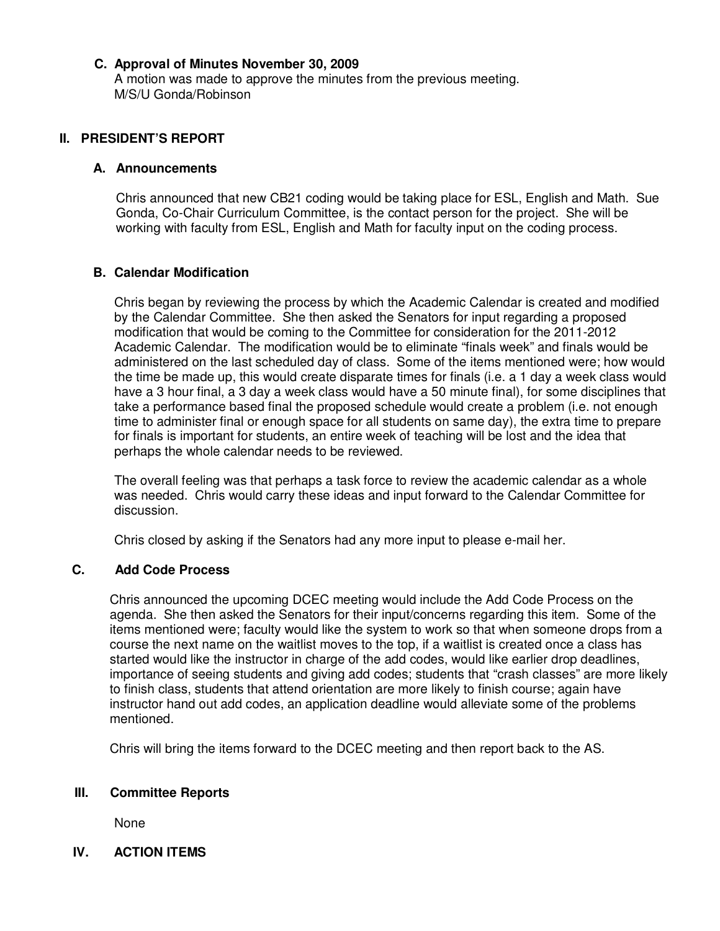## **C. Approval of Minutes November 30, 2009**

A motion was made to approve the minutes from the previous meeting. M/S/U Gonda/Robinson

### **II. PRESIDENT'S REPORT**

#### **A. Announcements**

Chris announced that new CB21 coding would be taking place for ESL, English and Math. Sue Gonda, Co-Chair Curriculum Committee, is the contact person for the project. She will be working with faculty from ESL, English and Math for faculty input on the coding process.

#### **B. Calendar Modification**

Chris began by reviewing the process by which the Academic Calendar is created and modified by the Calendar Committee. She then asked the Senators for input regarding a proposed modification that would be coming to the Committee for consideration for the 2011-2012 Academic Calendar. The modification would be to eliminate "finals week" and finals would be administered on the last scheduled day of class. Some of the items mentioned were; how would the time be made up, this would create disparate times for finals (i.e. a 1 day a week class would have a 3 hour final, a 3 day a week class would have a 50 minute final), for some disciplines that take a performance based final the proposed schedule would create a problem (i.e. not enough time to administer final or enough space for all students on same day), the extra time to prepare for finals is important for students, an entire week of teaching will be lost and the idea that perhaps the whole calendar needs to be reviewed.

The overall feeling was that perhaps a task force to review the academic calendar as a whole was needed. Chris would carry these ideas and input forward to the Calendar Committee for discussion.

Chris closed by asking if the Senators had any more input to please e-mail her.

#### **C. Add Code Process**

Chris announced the upcoming DCEC meeting would include the Add Code Process on the agenda. She then asked the Senators for their input/concerns regarding this item. Some of the items mentioned were; faculty would like the system to work so that when someone drops from a course the next name on the waitlist moves to the top, if a waitlist is created once a class has started would like the instructor in charge of the add codes, would like earlier drop deadlines, importance of seeing students and giving add codes; students that "crash classes" are more likely to finish class, students that attend orientation are more likely to finish course; again have instructor hand out add codes, an application deadline would alleviate some of the problems mentioned.

Chris will bring the items forward to the DCEC meeting and then report back to the AS.

#### **III. Committee Reports**

None

## **IV. ACTION ITEMS**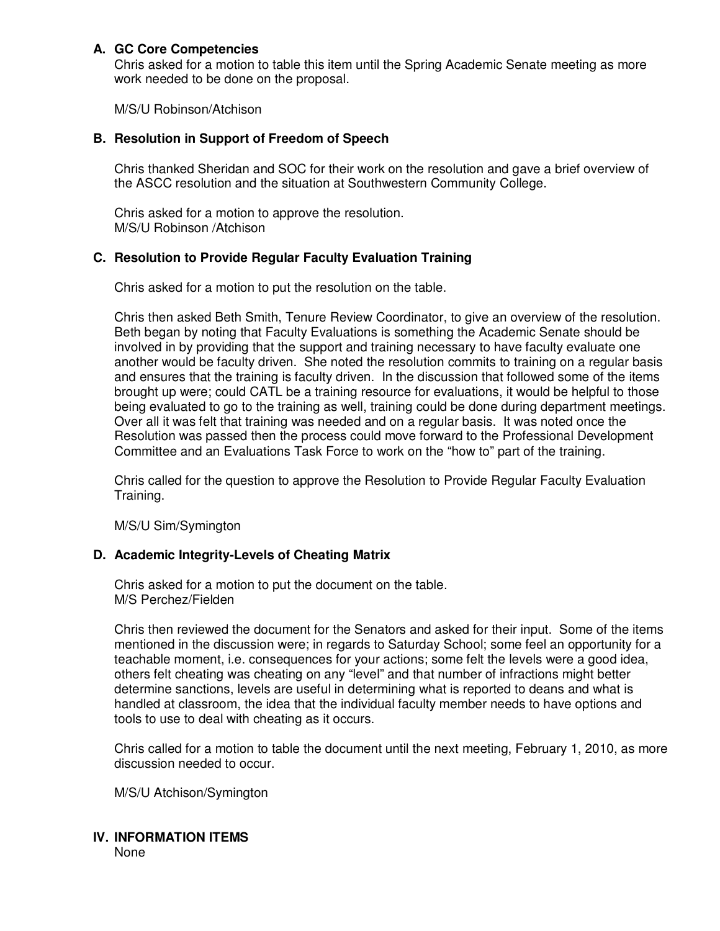## **A. GC Core Competencies**

Chris asked for a motion to table this item until the Spring Academic Senate meeting as more work needed to be done on the proposal.

M/S/U Robinson/Atchison

## **B. Resolution in Support of Freedom of Speech**

Chris thanked Sheridan and SOC for their work on the resolution and gave a brief overview of the ASCC resolution and the situation at Southwestern Community College.

Chris asked for a motion to approve the resolution. M/S/U Robinson /Atchison

## **C. Resolution to Provide Regular Faculty Evaluation Training**

Chris asked for a motion to put the resolution on the table.

Chris then asked Beth Smith, Tenure Review Coordinator, to give an overview of the resolution. Beth began by noting that Faculty Evaluations is something the Academic Senate should be involved in by providing that the support and training necessary to have faculty evaluate one another would be faculty driven. She noted the resolution commits to training on a regular basis and ensures that the training is faculty driven. In the discussion that followed some of the items brought up were; could CATL be a training resource for evaluations, it would be helpful to those being evaluated to go to the training as well, training could be done during department meetings. Over all it was felt that training was needed and on a regular basis. It was noted once the Resolution was passed then the process could move forward to the Professional Development Committee and an Evaluations Task Force to work on the "how to" part of the training.

Chris called for the question to approve the Resolution to Provide Regular Faculty Evaluation Training.

M/S/U Sim/Symington

## **D. Academic Integrity-Levels of Cheating Matrix**

Chris asked for a motion to put the document on the table. M/S Perchez/Fielden

Chris then reviewed the document for the Senators and asked for their input. Some of the items mentioned in the discussion were; in regards to Saturday School; some feel an opportunity for a teachable moment, i.e. consequences for your actions; some felt the levels were a good idea, others felt cheating was cheating on any "level" and that number of infractions might better determine sanctions, levels are useful in determining what is reported to deans and what is handled at classroom, the idea that the individual faculty member needs to have options and tools to use to deal with cheating as it occurs.

Chris called for a motion to table the document until the next meeting, February 1, 2010, as more discussion needed to occur.

M/S/U Atchison/Symington

## **IV. INFORMATION ITEMS**

None